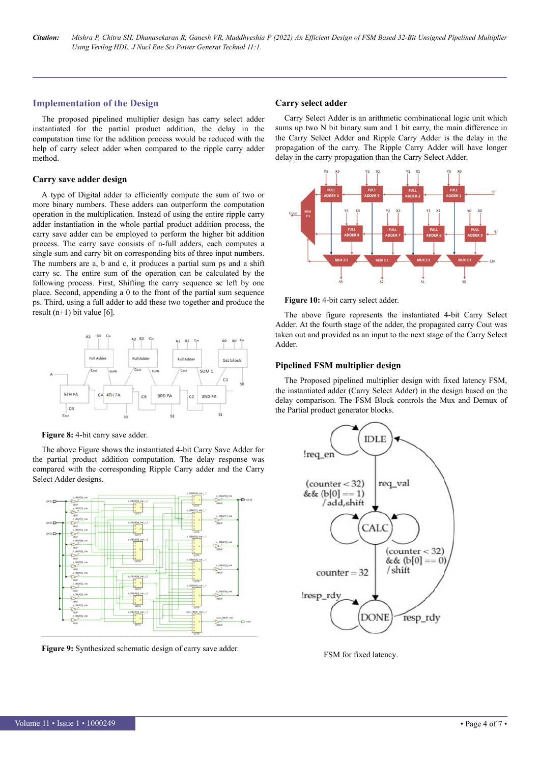## **Implementation of the Design**

The proposed pipelined multiplier design has carry select adder instantiated for the partial product addition, the delay in the computation time for the addition process would be reduced with the help of carry select adder when compared to the ripple carry adder method.

## **Carry save adder design**

A type of Digital adder to efficiently compute the sum of two or more binary numbers. These adders can outperform the computation operation in the multiplication. Instead of using the entire ripple carry adder instantiation in the whole partial product addition process, the carry save adder can be employed to perform the higher bit addition process. The carry save consists of n-full adders, each computes a single sum and carry bit on corresponding bits of three input numbers. The numbers are a, b and c, it produces a partial sum ps and a shift carry sc. The entire sum of the operation can be calculated by the following process. First, Shifting the carry sequence sc left by one place. Second, appending a 0 to the front of the partial sum sequence ps. Third, using a full adder to add these two together and produce the result  $(n+1)$  bit value [6].



**Figure 8:** 4-bit carry save adder.

The above Figure shows the instantiated 4-bit Carry Save Adder for the partial product addition computation. The delay response was compared with the corresponding Ripple Carry adder and the Carry Select Adder designs.



**Figure 9:** Synthesized schematic design of carry save adder.

### **Carry select adder**

Carry Select Adder is an arithmetic combinational logic unit which sums up two N bit binary sum and 1 bit carry, the main difference in the Carry Select Adder and Ripple Carry Adder is the delay in the propagation of the carry. The Ripple Carry Adder will have longer delay in the carry propagation than the Carry Select Adder.





The above figure represents the instantiated 4-bit Carry Select Adder. At the fourth stage of the adder, the propagated carry Cout was taken out and provided as an input to the next stage of the Carry Select Adder.

## **Pipelined FSM multiplier design**

The Proposed pipelined multiplier design with fixed latency FSM, the instantiated adder (Carry Select Adder) in the design based on the delay comparison. The FSM Block controls the Mux and Demux of the Partial product generator blocks.



**Figure 11:** FSM for fixed latency.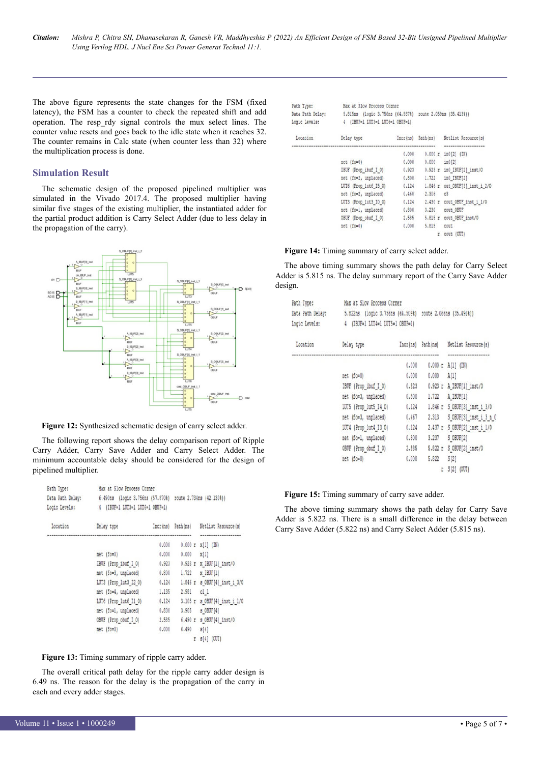The above figure represents the state changes for the FSM (fixed latency), the FSM has a counter to check the repeated shift and add operation. The resp\_rdy signal controls the mux select lines. The counter value resets and goes back to the idle state when it reaches 32. The counter remains in Calc state (when counter less than 32) where the multiplication process is done.

### **Simulation Result**

The schematic design of the proposed pipelined multiplier was simulated in the Vivado 2017.4. The proposed multiplier having similar five stages of the existing multiplier, the instantiated adder for the partial product addition is Carry Select Adder (due to less delay in the propagation of the carry).



**Figure 12:** Synthesized schematic design of carry select adder.

The following report shows the delay comparison report of Ripple Carry Adder, Carry Save Adder and Carry Select Adder. The minimum accountable delay should be considered for the design of pipelined multiplier.

| Path Type:<br>Data Path Delay:<br>Logic Levels: | Max at Slow Process Corner<br>6.490ns (logic 3.756ns (57.870%) route 2.734ns (42.130%))<br>(IBUF=1 LUT3=1 LUT6=1 OBUF=1)<br>4 |           |                   |                                     |
|-------------------------------------------------|-------------------------------------------------------------------------------------------------------------------------------|-----------|-------------------|-------------------------------------|
| Location                                        | Delay type                                                                                                                    | Incr (ns) | Path (ns)         | Netlist Resource (s)                |
|                                                 |                                                                                                                               | 0.000     |                   | ------------<br>$0.000 r$ x[1] (IN) |
|                                                 | $net (fo=0)$                                                                                                                  | 0.000     | $0.000 \times 11$ |                                     |
|                                                 | IBUF (Prop ibuf I O)                                                                                                          | 0.923     |                   | $0.923$ r x IBUF[1] inst/0          |
|                                                 | net (fo=3, unplaced)                                                                                                          | 0.800     | 1.722             | x IBUF[1]                           |
|                                                 | LUT3 (Prop lut3 I2 0)                                                                                                         | 0.124     |                   | 1.846 r s OBUF[4] inst i 3/0        |
|                                                 | net (fo=4, unplaced)                                                                                                          | 1.135     | 2.981 cl 1        |                                     |
|                                                 | LUT6 (Prop lut6 Il 0)                                                                                                         | 0.124     |                   | 3.105 r s OBUF[4] inst i 1/0        |
|                                                 | net (fo=1, unplaced)                                                                                                          | 0.800     |                   | 3.905 s OBUF[4]                     |
|                                                 | OBUF (Prop obuf I O)                                                                                                          | 2.585     |                   | 6.490 r s OBUF[4] inst/0            |
|                                                 | $net (fo=0)$                                                                                                                  | 0.000     | $6.490$ $8[4]$    |                                     |
|                                                 |                                                                                                                               |           |                   | $r = s[4]$ (OUT)                    |

**Figure 13:** Timing summary of ripple carry adder.

The overall critical path delay for the ripple carry adder design is 6.49 ns. The reason for the delay is the propagation of the carry in each and every adder stages.

| Path Type:       | Max at Slow Process Corner                                |       |                   |                                       |
|------------------|-----------------------------------------------------------|-------|-------------------|---------------------------------------|
| Data Path Delay: | 5.815ns (logic 3.756ns (64.587%) route 2.059ns (35.413%)) |       |                   |                                       |
| Logic Levels:    | (IBUF=1 LUT3=1 LUT6=1 OBUF=1)<br>4                        |       |                   |                                       |
| Location         | Delay type                                                |       | Incr(ns) Path(ns) | Netlist Resource(s)                   |
|                  |                                                           | 0.000 | 0.000r            | ------------------<br>$in0[2]$ $(IN)$ |
|                  | net (fo=0)                                                | 0.000 | 0.000             | in0[2]                                |
|                  | IBUF (Prop ibuf I O)                                      | 0.923 |                   | 0.923 r in0 IBUF[2] inst/0            |
|                  | net (fo=2, unplaced)                                      | 0.800 | 1.722             | in0 IBUF[2]                           |
|                  | LUT6 (Prop lut6 I5 0)                                     | 0.124 | 1.846 r           | out OBUF[3] inst i 2/0                |
|                  | net (fo=2, unplaced)                                      | 0.460 | 2.306             | $-c3$                                 |
|                  | LUT3 (Prop lut3 I0 0)                                     | 0.124 | $2.430$ r         | cout OBUF inst i 1/0                  |
|                  | net (fo=1, unplaced)                                      | 0.800 | 3.230             | cout OBUF                             |
|                  | OBUF (Prop obuf I O)                                      | 2.585 |                   | 5.815 r cout OBUF inst/0              |
|                  | net (fo=0)                                                | 0.000 | 5.815             | cout                                  |
|                  |                                                           |       |                   | <b>W.</b> GAINE INTTY                 |

### **Figure 14:** Timing summary of carry select adder.

The above timing summary shows the path delay for Carry Select Adder is 5.815 ns. The delay summary report of the Carry Save Adder design.

| Path Type:<br>Data Path Delay:<br>Logic Levels: | Max at Slow Process Corner<br>5.822ns (logic 3.756ns (64.509%) route 2.066ns (35.491%))<br>4 (IBUF=1 LUT4=1 LUT5=1 OBUF=1) |          |                      |                              |
|-------------------------------------------------|----------------------------------------------------------------------------------------------------------------------------|----------|----------------------|------------------------------|
| Location                                        | Delay type                                                                                                                 | Incr(ns) | Path(ns)             | Netlist Resource(s)          |
|                                                 |                                                                                                                            | 0.000    | ----------------     | <br>$0.000 r$ A[1] (IN)      |
|                                                 | net (fo=0)                                                                                                                 | 0.000    | $0.000$ $\lambda[1]$ |                              |
|                                                 | IBUF (Prop ibuf I 0)                                                                                                       | 0.923    |                      | 0.923 r A IBUF[1] inst/0     |
|                                                 | net (fo=3, unplaced)                                                                                                       | 0.800    | 1.722                | A IBUF[1]                    |
|                                                 | LUT5 (Prop lut5 I4 0)                                                                                                      | 0.124    |                      | 1.846 r S OBUF[3] inst_i_3/0 |
|                                                 | net (fo=3, unplaced)                                                                                                       | 0.467    | 2.313                | S OBUF[3] inst_i 3 n 0       |
|                                                 | LUT4 (Prop lut4 I3 0)                                                                                                      | 0.124    |                      | 2.437 r S OBUF[2] inst i 1/0 |
|                                                 | net (fo=1, unplaced)                                                                                                       | 0.800    | 3.237                | S OBUF[2]                    |
|                                                 | OBUF (Prop obuf I O)                                                                                                       | 2.585    |                      | 5.822 r S OBUF[2] inst/0     |
|                                                 | net (fo=0)                                                                                                                 | 0.000    | 5.822                | S[2]                         |
|                                                 |                                                                                                                            |          |                      | $r$ $S[2]$ $(00T)$           |

#### **Figure 15:** Timing summary of carry save adder.

The above timing summary shows the path delay for Carry Save Adder is 5.822 ns. There is a small difference in the delay between Carry Save Adder (5.822 ns) and Carry Select Adder (5.815 ns).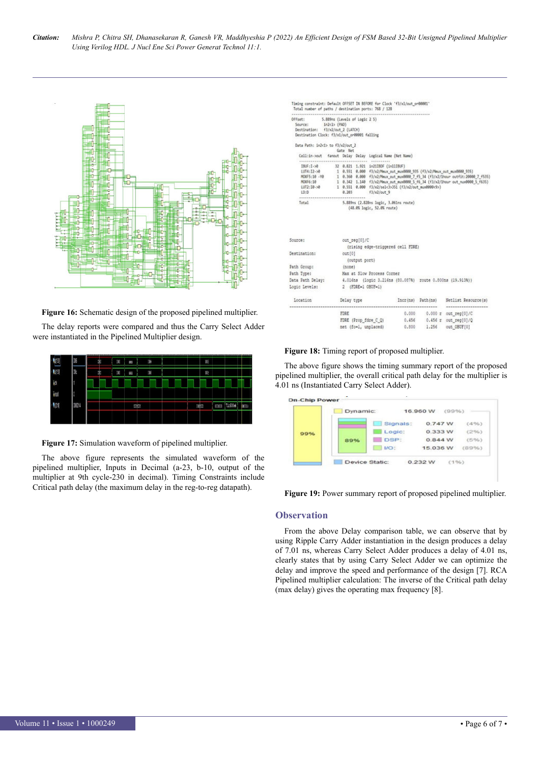

**Figure 16:** Schematic design of the proposed pipelined multiplier.

The delay reports were compared and thus the Carry Select Adder were instantiated in the Pipelined Multiplier design.



**Figure 17:** Simulation waveform of pipelined multiplier.

The above figure represents the simulated waveform of the pipelined multiplier, Inputs in Decimal (a-23, b-10, output of the multiplier at 9th cycle-230 in decimal). Timing Constraints include Critical path delay (the maximum delay in the reg-to-reg datapath).

| Offset: 5.889ns (Levels of Logic 2 5)<br>Source: in2<1> (PAD)                  |            |               |                                                                                                                                                                                       |  |
|--------------------------------------------------------------------------------|------------|---------------|---------------------------------------------------------------------------------------------------------------------------------------------------------------------------------------|--|
| Destination: f3/x2/out 2 (LATCH)                                               |            |               |                                                                                                                                                                                       |  |
| Destination Clock: f3/x1/out_or00001 falling                                   |            |               |                                                                                                                                                                                       |  |
| Data Path: in2<1> to f3/x2/out 2                                               |            |               |                                                                                                                                                                                       |  |
|                                                                                | Gate Net   |               |                                                                                                                                                                                       |  |
|                                                                                |            |               | Cell:in->out fanout Delay Delay Logical Name (Net Name)<br>                                                                                                                           |  |
| $BUF: I \rightarrow 0$                                                         |            |               | 32 0.821 1.921 in21IBOF (in11IBUF)                                                                                                                                                    |  |
|                                                                                |            |               | LUT4:I2->0 1 0.551 0.000 f3/x2/Mmux out mux0000 935 (f3/x2/Mmux out mux0000 935)                                                                                                      |  |
|                                                                                |            |               | MDXF5:10 -Y8 1 0.360 0.000 f3/x2/Mmux.cut_mux0000 7 f5_34 (f3/x2/1hour cutfit:20000 7 f535)<br>MDXF6:10 1 0.342 1.140 f3/x2/Mmux.cut_mux0000 5 f6_34 (f3/x2/1hour cut_nux0000 5_f635) |  |
|                                                                                |            |               |                                                                                                                                                                                       |  |
| LD:D                                                                           | 8.203      |               | LUT2:I0->0 1 0.551 0.000 f3/x2/sel<3>351 (f3/x2/out_mux0000<9>)<br>f3/x2/out9                                                                                                         |  |
| ***********************                                                        |            |               |                                                                                                                                                                                       |  |
|                                                                                |            |               | (48.0% logic, 52.0% route)                                                                                                                                                            |  |
|                                                                                |            |               |                                                                                                                                                                                       |  |
|                                                                                |            |               |                                                                                                                                                                                       |  |
| Source:                                                                        |            | out reg[0]/C  |                                                                                                                                                                                       |  |
|                                                                                |            |               | (rising edge-triggered cell FDRE)                                                                                                                                                     |  |
|                                                                                | out[0]     |               |                                                                                                                                                                                       |  |
|                                                                                |            | (output port) |                                                                                                                                                                                       |  |
|                                                                                | (none)     |               |                                                                                                                                                                                       |  |
|                                                                                |            |               | Max at Slow Process Corner                                                                                                                                                            |  |
|                                                                                |            |               | 4.016ns (logic 3.216ns (80.087%) route 0.800ns (19.913%))                                                                                                                             |  |
|                                                                                |            |               | 2 (FDRE=1 OBUF=1)                                                                                                                                                                     |  |
| Location                                                                       | Delay type |               | Incr(ns) Path(ns) Netlist Resource(s)                                                                                                                                                 |  |
|                                                                                |            |               | -------------------                                                                                                                                                                   |  |
| Destination:<br>Path Group:<br>Path Type:<br>Data Path Delay:<br>Logic Levels: | FDRE       |               | 0.000 0.000 r out reg[0]/C                                                                                                                                                            |  |
|                                                                                |            |               | 0.456 0.456 r out reg[0]/Q<br>FDRE (Prop fdre C Q)<br>1.256 out 0BUFT01<br>net (fo-1, unplaced)<br>0.800                                                                              |  |

### **Figure 18:** Timing report of proposed multiplier.

The above figure shows the timing summary report of the proposed pipelined multiplier, the overall critical path delay for the multiplier is 4.01 ns (Instantiated Carry Select Adder).



#### **Figure 19:** Power summary report of proposed pipelined multiplier.

## **Observation**

From the above Delay comparison table, we can observe that by using Ripple Carry Adder instantiation in the design produces a delay of 7.01 ns, whereas Carry Select Adder produces a delay of 4.01 ns, clearly states that by using Carry Select Adder we can optimize the delay and improve the speed and performance of the design [7]. RCA Pipelined multiplier calculation: The inverse of the Critical path delay (max delay) gives the operating max frequency [8].